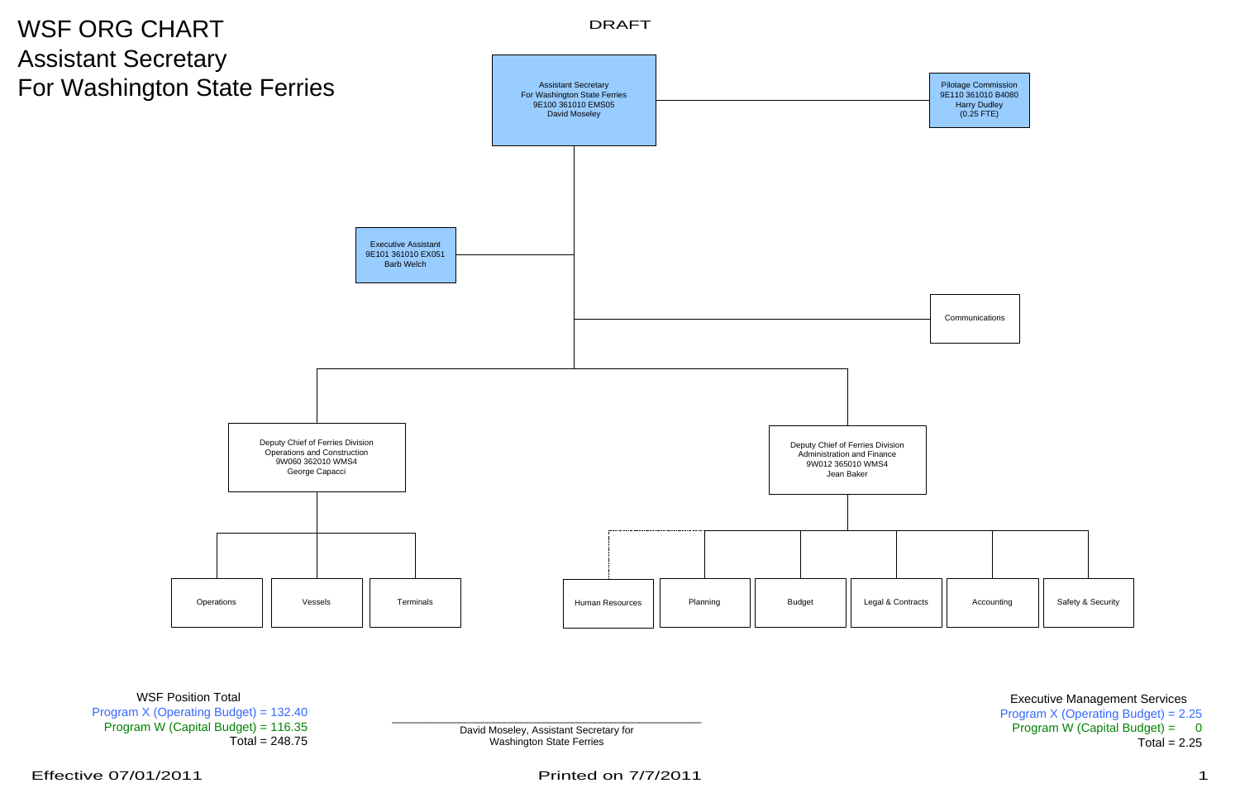Executive Management Services Program X (Operating Budget) = 2.25 Program W (Capital Budget) =  $0$  $Total = 2.25$ 

**Example 2.5 David Moseley, Assistant Secretary for** Washington State Ferries

WSF Position Total Program X (Operating Budget) = 132.40 Program W (Capital Budget) = 116.35  $Total = 248.75$ 



Printed on 7/7/2011 1 200 1 200 1 200 1 200 1 200 1 200 1 200 1 200 1 200 1 200 1 200 1 200 1 200 1 200 1 200 1 200 1 200 1 200 1 200 1 200 1 200 1 200 1 200 1 200 1 200 1 200 1 200 1 200 1 200 1 200 1 200 1 200 1 200 1 20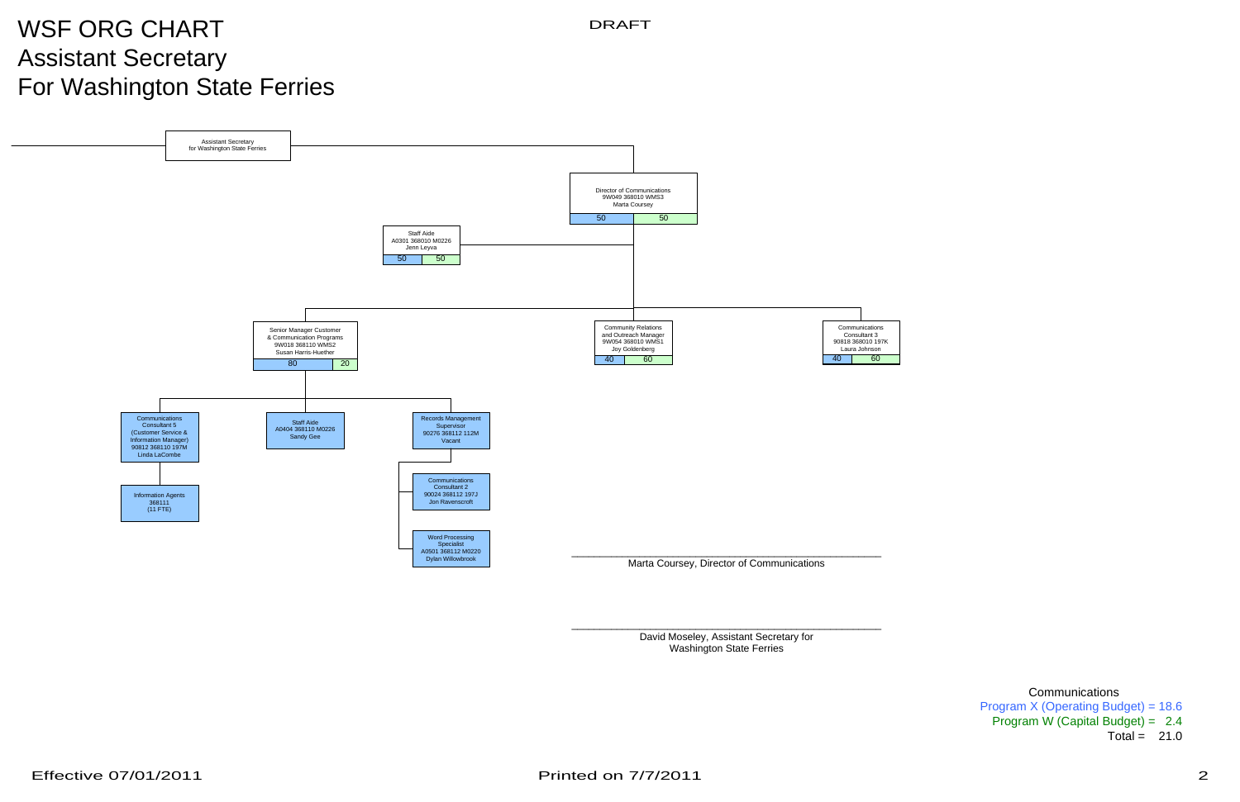## WSF ORG CHART Assistant Secretary For Washington State Ferries



David Moseley, Assistant Secretary for Washington State Ferries

```
Program X (Operating Budget) = 18.6
Program W (Capital Budget) = 2.4
                    Total = 21.0
```
DRAFT

**Communications**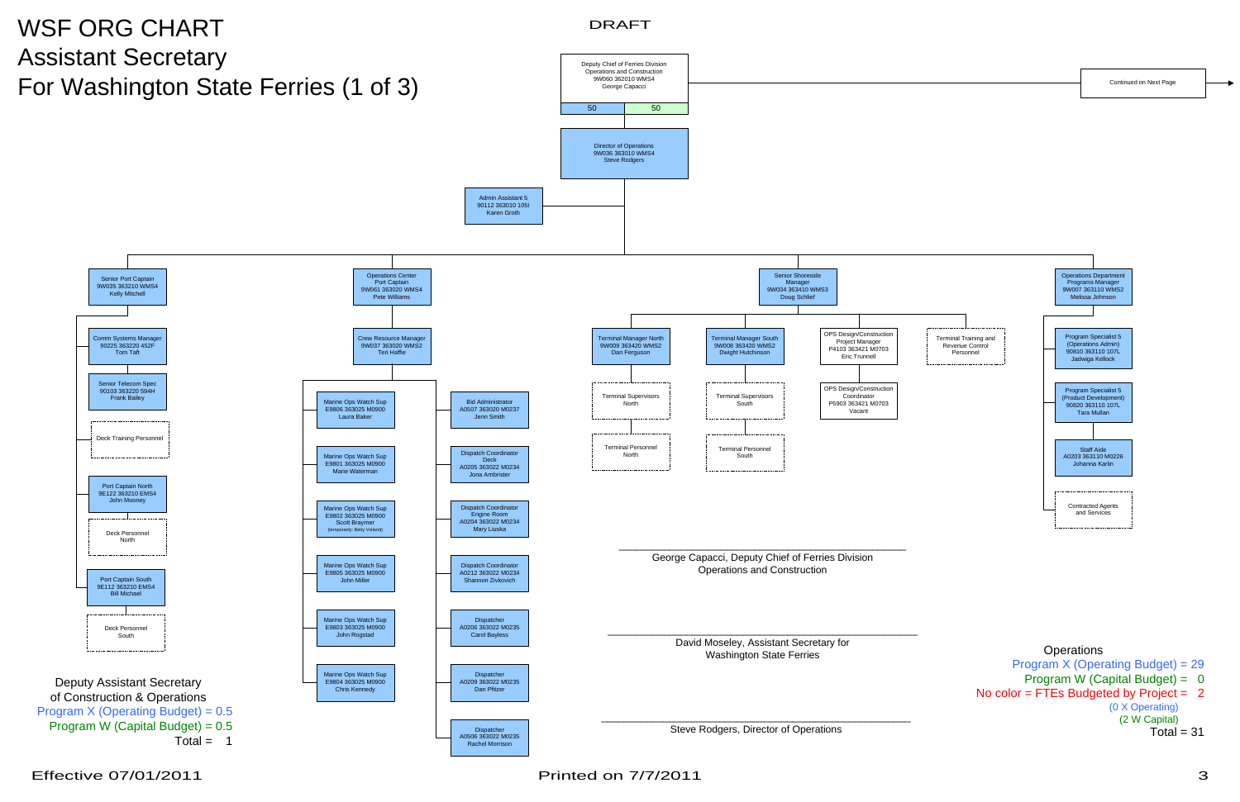

Effective 07/01/2011

Printed on 7/7/2011 3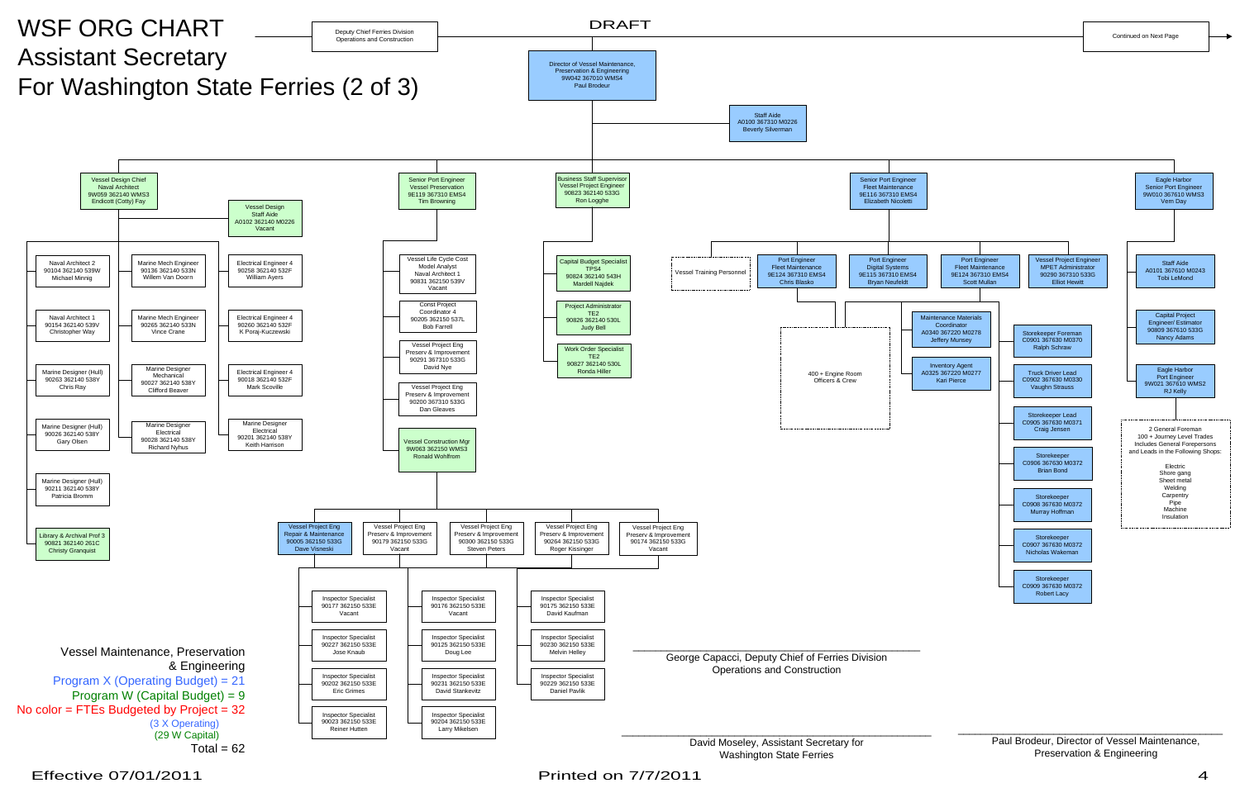

Effective 07/01/2011

Printed on 7/7/2011 2000 10:00 10:00 10:00 10:00 10:00 10:00 10:00 10:00 10:00 10:00 10:00 10:00 10:00 10:00 1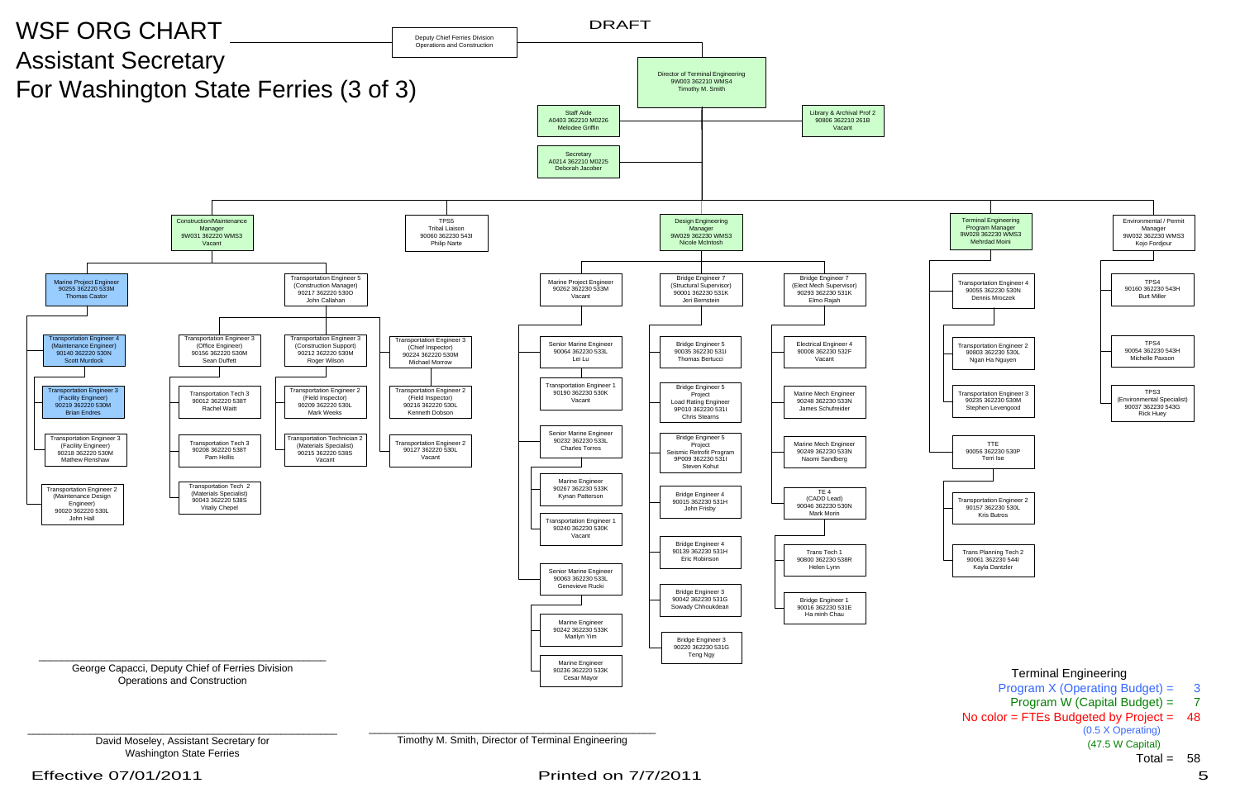



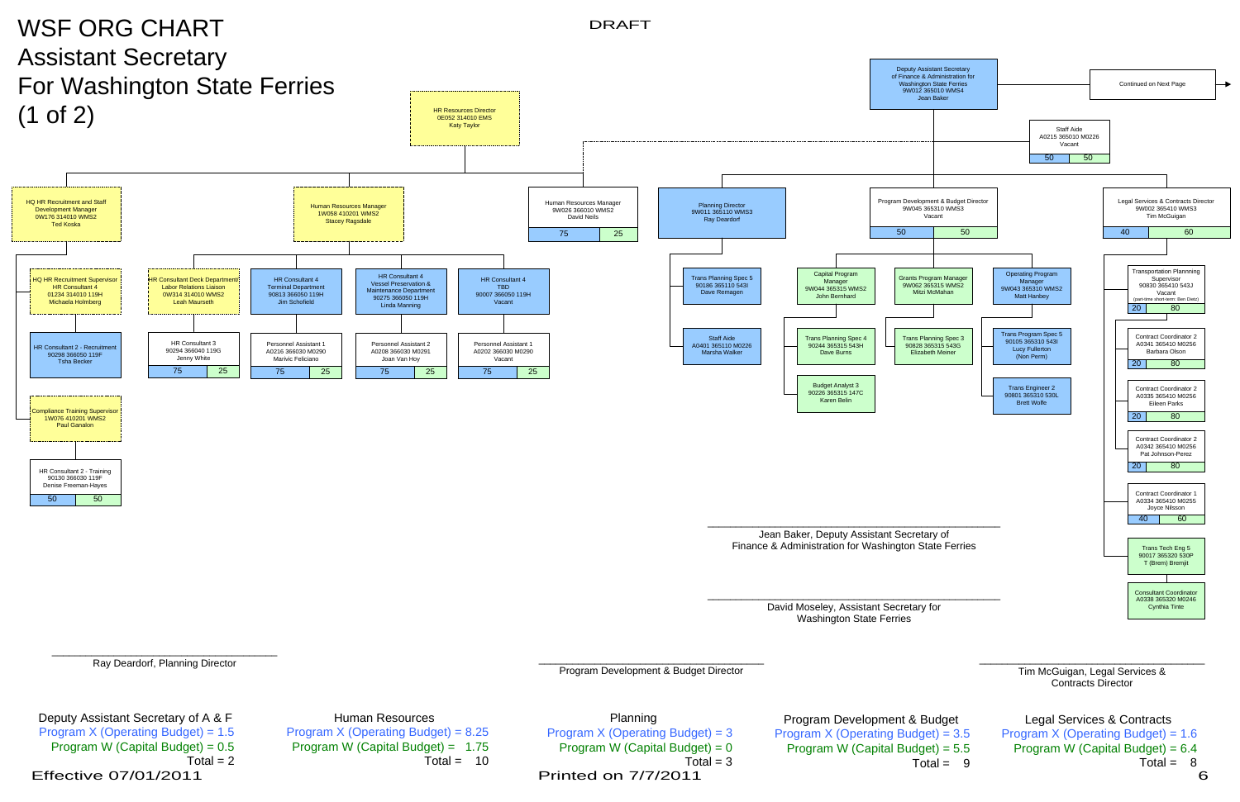Ray Deardorf, Planning Director



Human Resources Program  $X$  (Operating Budget) = 8.25 Program W (Capital Budget) = 1.75 Total =  $10$ 

\_\_\_\_\_\_\_\_\_\_\_\_\_\_\_\_\_\_\_\_\_\_\_\_\_\_\_\_\_\_\_\_\_\_\_\_\_\_\_\_ Tim McGuigan, Legal Services & Contracts Director

## Program Development & Budget Program X (Operating Budget) = 3.5 Program W (Capital Budget) = 5.5

Total = 9

Legal Services & Contracts Program X (Operating Budget) = 1.6 Program W (Capital Budget) = 6.4 Total = 8

Program Development & Budget Director

Planning Program X (Operating Budget) = 3 Program W (Capital Budget) =  $0$  $Total = 3$ Printed on 7/7/2011 6

Deputy Assistant Secretary of A & F Program X (Operating Budget) = 1.5 Program W (Capital Budget) =  $0.5$ Total  $= 2$ Effective 07/01/2011